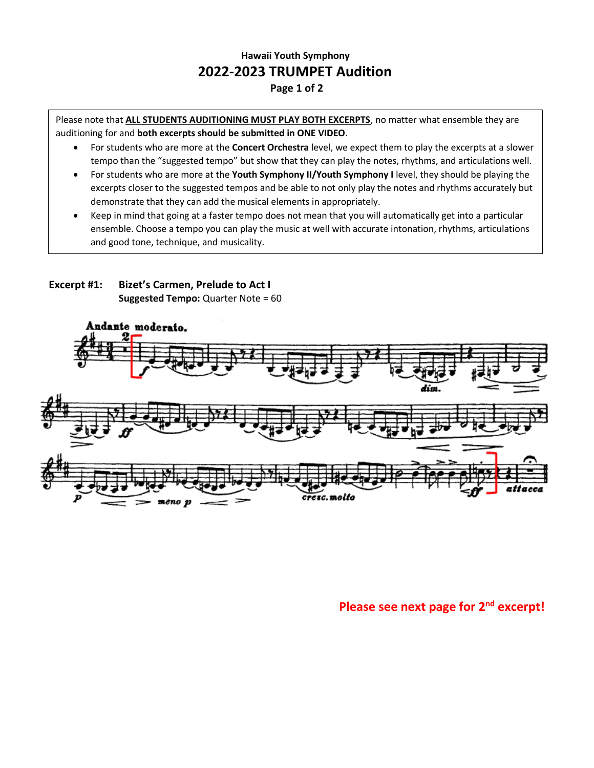## **Hawaii Youth Symphony 2022-2023 TRUMPET Audition Page 1 of 2**

Please note that **ALL STUDENTS AUDITIONING MUST PLAY BOTH EXCERPTS**, no matter what ensemble they are auditioning for and **both excerpts should be submitted in ONE VIDEO**.

- For students who are more at the **Concert Orchestra** level, we expect them to play the excerpts at a slower tempo than the "suggested tempo" but show that they can play the notes, rhythms, and articulations well.
- For students who are more at the **Youth Symphony II/Youth Symphony I** level, they should be playing the excerpts closer to the suggested tempos and be able to not only play the notes and rhythms accurately but demonstrate that they can add the musical elements in appropriately.
- Keep in mind that going at a faster tempo does not mean that you will automatically get into a particular ensemble. Choose a tempo you can play the music at well with accurate intonation, rhythms, articulations and good tone, technique, and musicality.





**Please see next page for 2nd excerpt!**